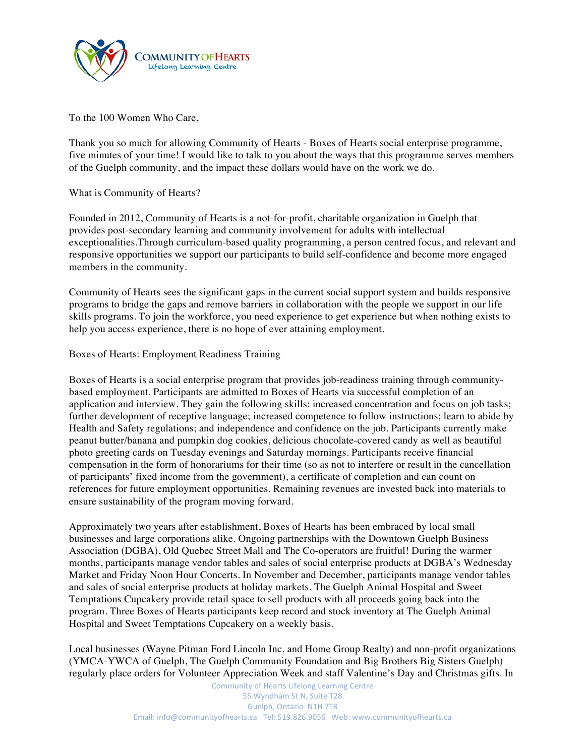

To the 100 Women Who Care,

Thank you so much for allowing Community of Hearts - Boxes of Hearts social enterprise programme, five minutes of your time! I would like to talk to you about the ways that this programme serves members of the Guelph community, and the impact these dollars would have on the work we do.

## What is Community of Hearts?

Founded in 2012, Community of Hearts is a not-for-profit, charitable organization in Guelph that provides post-secondary learning and community involvement for adults with intellectual exceptionalities.Through curriculum-based quality programming, a person centred focus, and relevant and responsive opportunities we support our participants to build self-confidence and become more engaged members in the community.

Community of Hearts sees the significant gaps in the current social support system and builds responsive programs to bridge the gaps and remove barriers in collaboration with the people we support in our life skills programs. To join the workforce, you need experience to get experience but when nothing exists to help you access experience, there is no hope of ever attaining employment.

## Boxes of Hearts: Employment Readiness Training

Boxes of Hearts is a social enterprise program that provides job-readiness training through communitybased employment. Participants are admitted to Boxes of Hearts via successful completion of an application and interview. They gain the following skills: increased concentration and focus on job tasks; further development of receptive language; increased competence to follow instructions; learn to abide by Health and Safety regulations; and independence and confidence on the job. Participants currently make peanut butter/banana and pumpkin dog cookies, delicious chocolate-covered candy as well as beautiful photo greeting cards on Tuesday evenings and Saturday mornings. Participants receive financial compensation in the form of honorariums for their time (so as not to interfere or result in the cancellation of participants' fixed income from the government), a certificate of completion and can count on references for future employment opportunities. Remaining revenues are invested back into materials to ensure sustainability of the program moving forward.

Approximately two years after establishment, Boxes of Hearts has been embraced by local small businesses and large corporations alike. Ongoing partnerships with the Downtown Guelph Business Association (DGBA), Old Quebec Street Mall and The Co-operators are fruitful! During the warmer months, participants manage vendor tables and sales of social enterprise products at DGBA's Wednesday Market and Friday Noon Hour Concerts. In November and December, participants manage vendor tables and sales of social enterprise products at holiday markets. The Guelph Animal Hospital and Sweet Temptations Cupcakery provide retail space to sell products with all proceeds going back into the program. Three Boxes of Hearts participants keep record and stock inventory at The Guelph Animal Hospital and Sweet Temptations Cupcakery on a weekly basis.

Local businesses (Wayne Pitman Ford Lincoln Inc. and Home Group Realty) and non-profit organizations (YMCA-YWCA of Guelph, The Guelph Community Foundation and Big Brothers Big Sisters Guelph) regularly place orders for Volunteer Appreciation Week and staff Valentine's Day and Christmas gifts. In